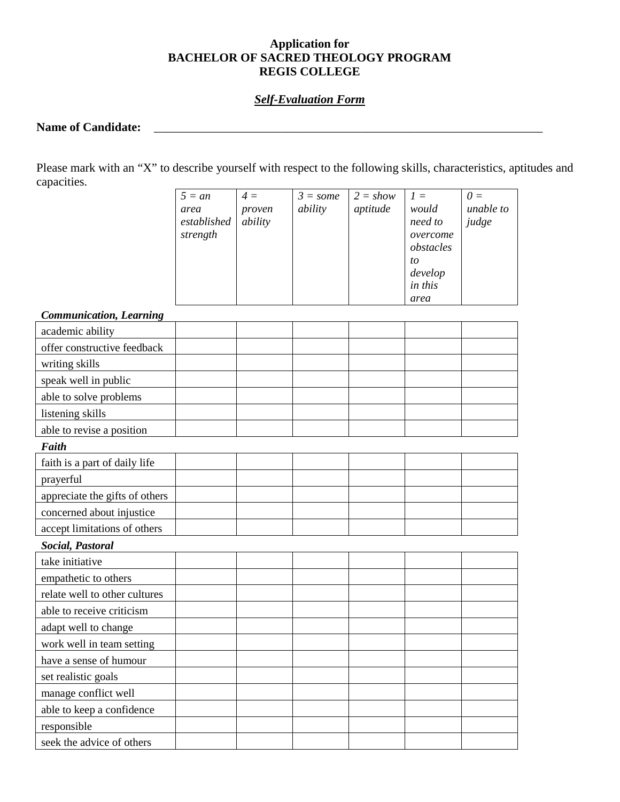## **Application for BACHELOR OF SACRED THEOLOGY PROGRAM REGIS COLLEGE**

### *Self-Evaluation Form*

# **Name of Candidate:** \_\_\_\_\_\_\_\_\_\_\_\_\_\_\_\_\_\_\_\_\_\_\_\_\_\_\_\_\_\_\_\_\_\_\_\_\_\_\_\_\_\_\_\_\_\_\_\_\_\_\_\_\_\_\_\_\_\_\_\_\_\_\_\_

Please mark with an "X" to describe yourself with respect to the following skills, characteristics, aptitudes and capacities.

| $5 = an$    | $4 =$   | $3 = some$ | $2 = show$ | $1 =$     | $\theta =$ |
|-------------|---------|------------|------------|-----------|------------|
| area        | proven  | ability    | aptitude   | would     | unable to  |
| established | ability |            |            | need to   | judge      |
| strength    |         |            |            | overcome  |            |
|             |         |            |            | obstacles |            |
|             |         |            |            | to        |            |
|             |         |            |            | develop   |            |
|             |         |            |            | in this   |            |
|             |         |            |            | area      |            |

## *Communication, Learning*

| Communication, Learning        |  |  |  |  |  |  |  |  |
|--------------------------------|--|--|--|--|--|--|--|--|
| academic ability               |  |  |  |  |  |  |  |  |
| offer constructive feedback    |  |  |  |  |  |  |  |  |
| writing skills                 |  |  |  |  |  |  |  |  |
| speak well in public           |  |  |  |  |  |  |  |  |
| able to solve problems         |  |  |  |  |  |  |  |  |
| listening skills               |  |  |  |  |  |  |  |  |
| able to revise a position      |  |  |  |  |  |  |  |  |
| <b>Faith</b>                   |  |  |  |  |  |  |  |  |
| faith is a part of daily life  |  |  |  |  |  |  |  |  |
| prayerful                      |  |  |  |  |  |  |  |  |
| appreciate the gifts of others |  |  |  |  |  |  |  |  |
| concerned about injustice      |  |  |  |  |  |  |  |  |
| accept limitations of others   |  |  |  |  |  |  |  |  |
| Social, Pastoral               |  |  |  |  |  |  |  |  |
| take initiative                |  |  |  |  |  |  |  |  |
| empathetic to others           |  |  |  |  |  |  |  |  |
| relate well to other cultures  |  |  |  |  |  |  |  |  |
| able to receive criticism      |  |  |  |  |  |  |  |  |
| adapt well to change           |  |  |  |  |  |  |  |  |
| work well in team setting      |  |  |  |  |  |  |  |  |
| have a sense of humour         |  |  |  |  |  |  |  |  |
| set realistic goals            |  |  |  |  |  |  |  |  |
| manage conflict well           |  |  |  |  |  |  |  |  |
| able to keep a confidence      |  |  |  |  |  |  |  |  |
| responsible                    |  |  |  |  |  |  |  |  |
| seek the advice of others      |  |  |  |  |  |  |  |  |